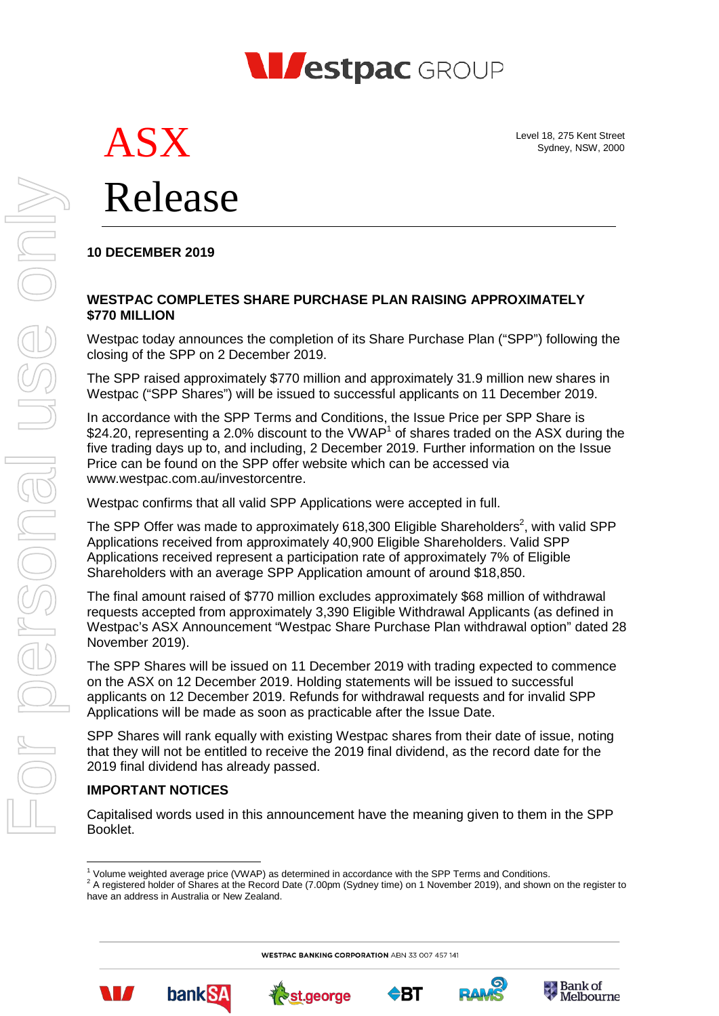

Level 18, 275 Kent Street Sydney, NSW, 2000

 $\rightarrow$  Bank of Melbourne

# ASX Release

## **10 DECEMBER 2019**

#### **WESTPAC COMPLETES SHARE PURCHASE PLAN RAISING APPROXIMATELY \$770 MILLION**

Westpac today announces the completion of its Share Purchase Plan ("SPP") following the closing of the SPP on 2 December 2019.

The SPP raised approximately \$770 million and approximately 31.9 million new shares in Westpac ("SPP Shares") will be issued to successful applicants on 11 December 2019.

In accordance with the SPP Terms and Conditions, the Issue Price per SPP Share is \$24.20, representing a 2.0% discount to the VWAP<sup>1</sup> of shares traded on the ASX during the five trading days up to, and including, 2 December 2019. Further information on the Issue Price can be found on the SPP offer website which can be accessed via www.westpac.com.au/investorcentre.

Westpac confirms that all valid SPP Applications were accepted in full.

The SPP Offer was made to approximately 618,300 Eligible Shareholders<sup>2</sup>, with valid SPP Applications received from approximately 40,900 Eligible Shareholders. Valid SPP Applications received represent a participation rate of approximately 7% of Eligible Shareholders with an average SPP Application amount of around \$18,850.

The final amount raised of \$770 million excludes approximately \$68 million of withdrawal requests accepted from approximately 3,390 Eligible Withdrawal Applicants (as defined in Westpac's ASX Announcement "Westpac Share Purchase Plan withdrawal option" dated 28 November 2019).

The SPP Shares will be issued on 11 December 2019 with trading expected to commence on the ASX on 12 December 2019. Holding statements will be issued to successful applicants on 12 December 2019. Refunds for withdrawal requests and for invalid SPP Applications will be made as soon as practicable after the Issue Date.

SPP Shares will rank equally with existing Westpac shares from their date of issue, noting that they will not be entitled to receive the 2019 final dividend, as the record date for the 2019 final dividend has already passed.

#### **IMPORTANT NOTICES**

W

**bankSA** 

Capitalised words used in this announcement have the meaning given to them in the SPP Booklet.

₹, st.george

**WESTPAC BANKING CORPORATION ABN 33 007 457 141** 

 $\bigcirc$ BT



**<sup>.</sup>**  $1$  Volume weighted average price (VWAP) as determined in accordance with the SPP Terms and Conditions.

<sup>&</sup>lt;sup>2</sup> A registered holder of Shares at the Record Date (7.00pm (Sydney time) on 1 November 2019), and shown on the register to have an address in Australia or New Zealand.